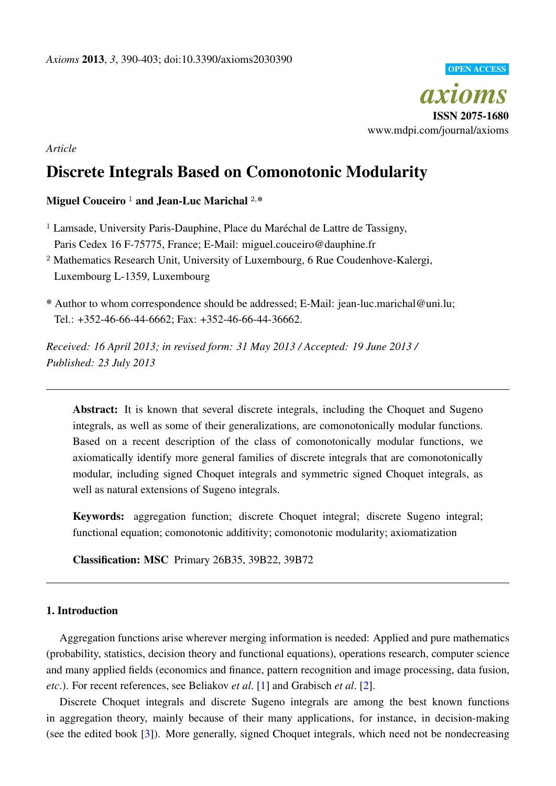

*Article*

# Discrete Integrals Based on Comonotonic Modularity

# Miguel Couceiro  $1$  and Jean-Luc Marichal  $2,$ \*

 $<sup>1</sup>$  Lamsade, University Paris-Dauphine, Place du Maréchal de Lattre de Tassigny,</sup> Paris Cedex 16 F-75775, France; E-Mail: miguel.couceiro@dauphine.fr

<sup>2</sup> Mathematics Research Unit, University of Luxembourg, 6 Rue Coudenhove-Kalergi, Luxembourg L-1359, Luxembourg

\* Author to whom correspondence should be addressed; E-Mail: jean-luc.marichal@uni.lu; Tel.: +352-46-66-44-6662; Fax: +352-46-66-44-36662.

*Received: 16 April 2013; in revised form: 31 May 2013 / Accepted: 19 June 2013 / Published: 23 July 2013*

Abstract: It is known that several discrete integrals, including the Choquet and Sugeno integrals, as well as some of their generalizations, are comonotonically modular functions. Based on a recent description of the class of comonotonically modular functions, we axiomatically identify more general families of discrete integrals that are comonotonically modular, including signed Choquet integrals and symmetric signed Choquet integrals, as well as natural extensions of Sugeno integrals.

Keywords: aggregation function; discrete Choquet integral; discrete Sugeno integral; functional equation; comonotonic additivity; comonotonic modularity; axiomatization

Classification: MSC Primary 26B35, 39B22, 39B72

# 1. Introduction

Aggregation functions arise wherever merging information is needed: Applied and pure mathematics (probability, statistics, decision theory and functional equations), operations research, computer science and many applied fields (economics and finance, pattern recognition and image processing, data fusion, *etc*.). For recent references, see Beliakov *et al*. [\[1\]](#page-12-0) and Grabisch *et al*. [\[2\]](#page-12-1).

Discrete Choquet integrals and discrete Sugeno integrals are among the best known functions in aggregation theory, mainly because of their many applications, for instance, in decision-making (see the edited book [\[3\]](#page-12-2)). More generally, signed Choquet integrals, which need not be nondecreasing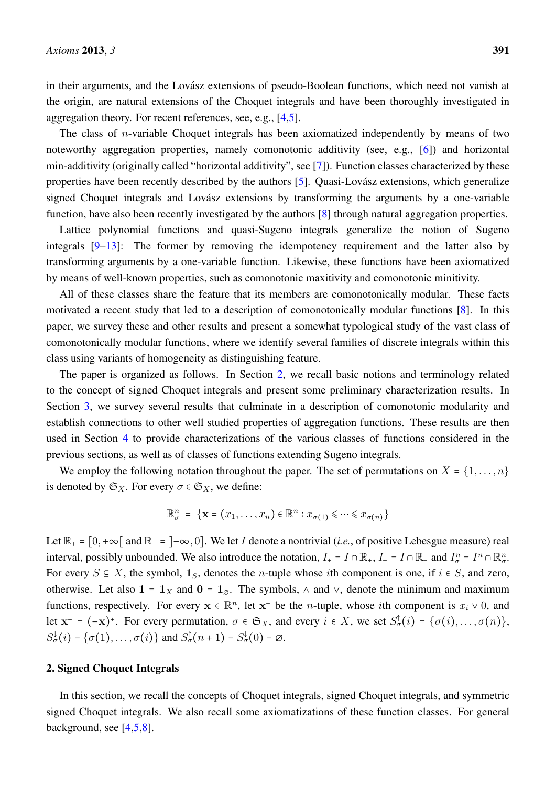in their arguments, and the Lovász extensions of pseudo-Boolean functions, which need not vanish at the origin, are natural extensions of the Choquet integrals and have been thoroughly investigated in aggregation theory. For recent references, see, e.g., [\[4](#page-12-3)[,5\]](#page-12-4).

The class of *n*-variable Choquet integrals has been axiomatized independently by means of two noteworthy aggregation properties, namely comonotonic additivity (see, e.g., [\[6\]](#page-12-5)) and horizontal min-additivity (originally called "horizontal additivity", see [\[7\]](#page-12-6)). Function classes characterized by these properties have been recently described by the authors [\[5\]](#page-12-4). Quasi-Lovász extensions, which generalize signed Choquet integrals and Lovász extensions by transforming the arguments by a one-variable function, have also been recently investigated by the authors [\[8\]](#page-12-7) through natural aggregation properties.

Lattice polynomial functions and quasi-Sugeno integrals generalize the notion of Sugeno integrals [\[9](#page-12-8)[–13\]](#page-13-0): The former by removing the idempotency requirement and the latter also by transforming arguments by a one-variable function. Likewise, these functions have been axiomatized by means of well-known properties, such as comonotonic maxitivity and comonotonic minitivity.

All of these classes share the feature that its members are comonotonically modular. These facts motivated a recent study that led to a description of comonotonically modular functions [\[8\]](#page-12-7). In this paper, we survey these and other results and present a somewhat typological study of the vast class of comonotonically modular functions, where we identify several families of discrete integrals within this class using variants of homogeneity as distinguishing feature.

The paper is organized as follows. In Section [2,](#page-1-0) we recall basic notions and terminology related to the concept of signed Choquet integrals and present some preliminary characterization results. In Section [3,](#page-4-0) we survey several results that culminate in a description of comonotonic modularity and establish connections to other well studied properties of aggregation functions. These results are then used in Section [4](#page-6-0) to provide characterizations of the various classes of functions considered in the previous sections, as well as of classes of functions extending Sugeno integrals.

We employ the following notation throughout the paper. The set of permutations on  $X = \{1, \ldots, n\}$ is denoted by  $\mathfrak{S}_X$ . For every  $\sigma \in \mathfrak{S}_X$ , we define:

$$
\mathbb{R}^n_{\sigma} = \{ \mathbf{x} = (x_1, \dots, x_n) \in \mathbb{R}^n : x_{\sigma(1)} \leq \dots \leq x_{\sigma(n)} \}
$$

Let  $\mathbb{R}_+ = [0, +\infty[$  and  $\mathbb{R}_- = ]-\infty, 0]$ . We let I denote a nontrivial (*i.e.*, of positive Lebesgue measure) real interval, possibly unbounded. We also introduce the notation,  $I_+ = I \cap \mathbb{R}_+$ ,  $I_- = I \cap \mathbb{R}_-$  and  $I_\sigma^n = I^n \cap \mathbb{R}_\sigma^n$ . For every  $S \subseteq X$ , the symbol,  $\mathbf{1}_S$ , denotes the *n*-tuple whose *i*th component is one, if  $i \in S$ , and zero, otherwise. Let also 1 = 1<sub>X</sub> and 0 = 1<sub>∞</sub>. The symbols,  $\land$  and  $\lor$ , denote the minimum and maximum functions, respectively. For every  $\mathbf{x} \in \mathbb{R}^n$ , let  $\mathbf{x}^+$  be the *n*-tuple, whose *i*th component is  $x_i \vee 0$ , and let  $\mathbf{x}^- = (-\mathbf{x})^+$ . For every permutation,  $\sigma \in \mathfrak{S}_X$ , and every  $i \in X$ , we set  $S^{\uparrow}_{\sigma}(i) = {\sigma(i), \ldots, \sigma(n)}$ ,  $S^{\downarrow}_{\sigma}(i) = {\sigma(1), \ldots, \sigma(i)}$  and  $S^{\uparrow}_{\sigma}(n+1) = S^{\downarrow}_{\sigma}(0) = \emptyset$ .

#### <span id="page-1-0"></span>2. Signed Choquet Integrals

In this section, we recall the concepts of Choquet integrals, signed Choquet integrals, and symmetric signed Choquet integrals. We also recall some axiomatizations of these function classes. For general background, see  $[4,5,8]$  $[4,5,8]$  $[4,5,8]$ .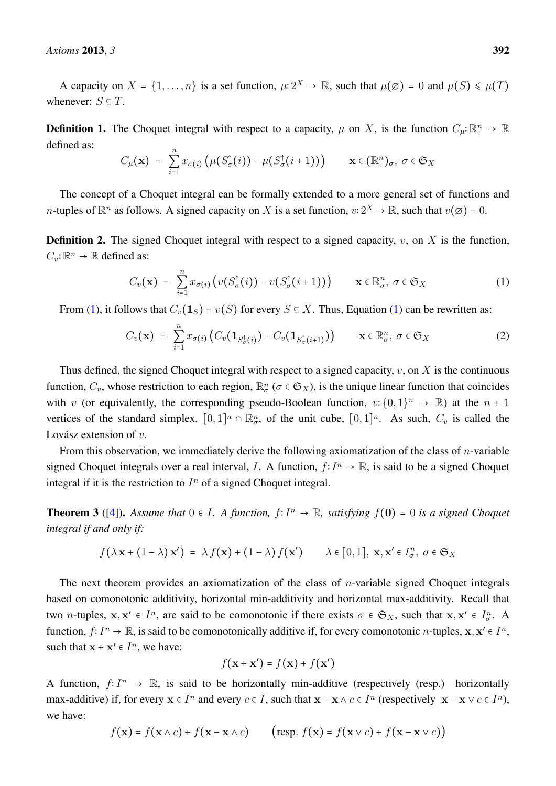A capacity on  $X = \{1, ..., n\}$  is a set function,  $\mu: 2^X \to \mathbb{R}$ , such that  $\mu(\emptyset) = 0$  and  $\mu(S) \le \mu(T)$ whenever:  $S \subseteq T$ .

**Definition 1.** The Choquet integral with respect to a capacity,  $\mu$  on X, is the function  $C_{\mu}:\mathbb{R}^n_+ \to \mathbb{R}$ defined as:

$$
C_{\mu}(\mathbf{x}) = \sum_{i=1}^{n} x_{\sigma(i)} \left( \mu(S_{\sigma}^{\dagger}(i)) - \mu(S_{\sigma}^{\dagger}(i+1)) \right) \qquad \mathbf{x} \in (\mathbb{R}_{+}^{n})_{\sigma}, \ \sigma \in \mathfrak{S}_{X}
$$

The concept of a Choquet integral can be formally extended to a more general set of functions and *n*-tuples of  $\mathbb{R}^n$  as follows. A signed capacity on X is a set function,  $v: 2^X \to \mathbb{R}$ , such that  $v(\emptyset) = 0$ .

**Definition 2.** The signed Choquet integral with respect to a signed capacity,  $v$ , on  $X$  is the function,  $C_v: \mathbb{R}^n \to \mathbb{R}$  defined as:

<span id="page-2-2"></span><span id="page-2-0"></span>
$$
C_v(\mathbf{x}) = \sum_{i=1}^n x_{\sigma(i)} \left( v(S^{\dagger}_{\sigma}(i)) - v(S^{\dagger}_{\sigma}(i+1)) \right) \qquad \mathbf{x} \in \mathbb{R}^n_{\sigma}, \ \sigma \in \mathfrak{S}_X \tag{1}
$$

From [\(1\)](#page-2-0), it follows that  $C_v(1_S) = v(S)$  for every  $S \subseteq X$ . Thus, Equation (1) can be rewritten as:

$$
C_v(\mathbf{x}) = \sum_{i=1}^n x_{\sigma(i)} \left( C_v(\mathbf{1}_{S^{\dagger}_{\sigma}(i)}) - C_v(\mathbf{1}_{S^{\dagger}_{\sigma}(i+1)}) \right) \qquad \mathbf{x} \in \mathbb{R}^n_{\sigma}, \ \sigma \in \mathfrak{S}_X \tag{2}
$$

Thus defined, the signed Choquet integral with respect to a signed capacity,  $v$ , on  $X$  is the continuous function,  $C_v$ , whose restriction to each region,  $\mathbb{R}^n_\sigma$  ( $\sigma \in \mathfrak{S}_X$ ), is the unique linear function that coincides with v (or equivalently, the corresponding pseudo-Boolean function,  $v: \{0,1\}^n \to \mathbb{R}$ ) at the  $n + 1$ vertices of the standard simplex,  $[0,1]^n \cap \mathbb{R}_{\sigma}^n$ , of the unit cube,  $[0,1]^n$ . As such,  $C_v$  is called the Lovász extension of  $v$ .

From this observation, we immediately derive the following axiomatization of the class of  $n$ -variable signed Choquet integrals over a real interval, I. A function,  $f: I^n \to \mathbb{R}$ , is said to be a signed Choquet integral if it is the restriction to  $I<sup>n</sup>$  of a signed Choquet integral.

**Theorem 3** ([\[4\]](#page-12-3)). *Assume that*  $0 \in I$ . *A function,*  $f: I<sup>n</sup> → ℝ$ *, satisfying*  $f(0) = 0$  *is a signed Choquet integral if and only if:*

$$
f(\lambda \mathbf{x} + (1 - \lambda) \mathbf{x}') = \lambda f(\mathbf{x}) + (1 - \lambda) f(\mathbf{x}') \qquad \lambda \in [0, 1], \mathbf{x}, \mathbf{x}' \in I^n_\sigma, \sigma \in \mathfrak{S}_X
$$

The next theorem provides an axiomatization of the class of *n*-variable signed Choquet integrals based on comonotonic additivity, horizontal min-additivity and horizontal max-additivity. Recall that two *n*-tuples,  $x, x' \in I^n$ , are said to be comonotonic if there exists  $\sigma \in \mathfrak{S}_X$ , such that  $x, x' \in I^n_\sigma$ . function,  $f: I^n \to \mathbb{R}$ , is said to be comonotonically additive if, for every comonotonic *n*-tuples,  $x, x' \in I^n$ , such that  $\mathbf{x} + \mathbf{x}' \in I^n$ , we have:

$$
f(\mathbf{x} + \mathbf{x}') = f(\mathbf{x}) + f(\mathbf{x}')
$$

A function,  $f: I^n \to \mathbb{R}$ , is said to be horizontally min-additive (respectively (resp.) horizontally max-additive) if, for every  $x \in I^n$  and every  $c \in I$ , such that  $x - x \wedge c \in I^n$  (respectively  $x - x \vee c \in I^n$ ), we have:

<span id="page-2-1"></span>
$$
f(\mathbf{x}) = f(\mathbf{x} \wedge c) + f(\mathbf{x} - \mathbf{x} \wedge c) \qquad \left(\text{resp. } f(\mathbf{x}) = f(\mathbf{x} \vee c) + f(\mathbf{x} - \mathbf{x} \vee c)\right)
$$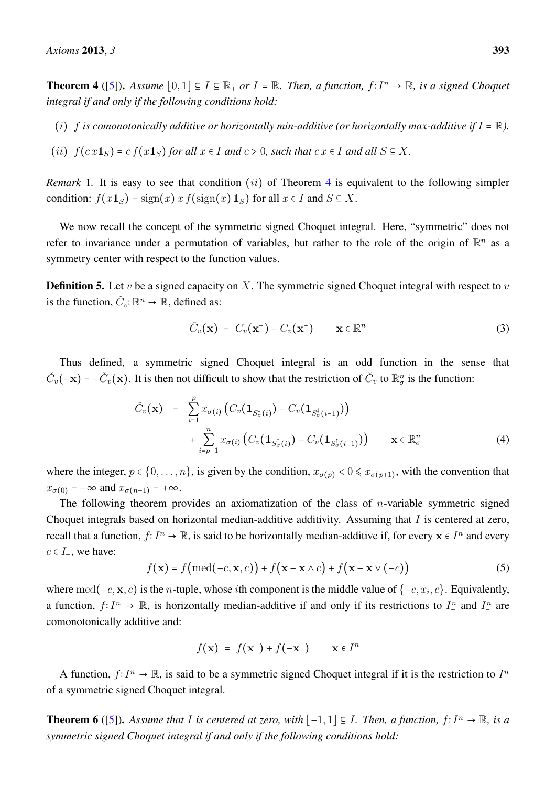**Theorem 4** ([\[5\]](#page-12-4)). *Assume*  $[0,1] \subseteq I \subseteq \mathbb{R}_+$  *or I* =  $\mathbb{R}$ *. Then, a function, f*∶ *I*<sup>n</sup> →  $\mathbb{R}$ *, is a signed Choquet integral if and only if the following conditions hold:*

- (i) f is comonotonically additive or horizontally min-additive (or horizontally max-additive if  $I = \mathbb{R}$ ).
- (ii)  $f(cx1<sub>S</sub>) = cf(x1<sub>S</sub>)$  *for all*  $x \in I$  *and*  $c > 0$ *, such that*  $cx \in I$  *and all*  $S \subseteq X$ *.*

<span id="page-3-1"></span>*Remark* 1. It is easy to see that condition (*ii*) of Theorem [4](#page-2-1) is equivalent to the following simpler condition:  $f(x1_S) = \text{sign}(x) x f(\text{sign}(x) 1_S)$  for all  $x \in I$  and  $S \subseteq X$ .

We now recall the concept of the symmetric signed Choquet integral. Here, "symmetric" does not refer to invariance under a permutation of variables, but rather to the role of the origin of  $\mathbb{R}^n$  as a symmetry center with respect to the function values.

**Definition 5.** Let v be a signed capacity on X. The symmetric signed Choquet integral with respect to v is the function,  $\check{C}_v : \mathbb{R}^n \to \mathbb{R}$ , defined as:

$$
\check{C}_v(\mathbf{x}) = C_v(\mathbf{x}^+) - C_v(\mathbf{x}^-) \qquad \mathbf{x} \in \mathbb{R}^n \tag{3}
$$

Thus defined, a symmetric signed Choquet integral is an odd function in the sense that  $\check{C}_v(-\mathbf{x}) = -\check{C}_v(\mathbf{x})$ . It is then not difficult to show that the restriction of  $\check{C}_v$  to  $\mathbb{R}^n_{\sigma}$  is the function:

<span id="page-3-2"></span>
$$
\tilde{C}_v(\mathbf{x}) = \sum_{i=1}^p x_{\sigma(i)} \left( C_v(\mathbf{1}_{S^{\downarrow}_{\sigma}(i)}) - C_v(\mathbf{1}_{S^{\downarrow}_{\sigma}(i-1)}) \right) + \sum_{i=p+1}^n x_{\sigma(i)} \left( C_v(\mathbf{1}_{S^{\uparrow}_{\sigma}(i)}) - C_v(\mathbf{1}_{S^{\uparrow}_{\sigma}(i+1)}) \right) \qquad \mathbf{x} \in \mathbb{R}^n_\sigma
$$
\n(4)

where the integer,  $p \in \{0, ..., n\}$ , is given by the condition,  $x_{\sigma(p)} < 0 \le x_{\sigma(p+1)}$ , with the convention that  $x_{\sigma(0)} = -\infty$  and  $x_{\sigma(n+1)} = +\infty$ .

The following theorem provides an axiomatization of the class of *n*-variable symmetric signed Choquet integrals based on horizontal median-additive additivity. Assuming that I is centered at zero, recall that a function,  $f: I^n \to \mathbb{R}$ , is said to be horizontally median-additive if, for every  $x \in I^n$  and every  $c \in I_+$ , we have:

$$
f(\mathbf{x}) = f\big(\text{med}(-c, \mathbf{x}, c)\big) + f\big(\mathbf{x} - \mathbf{x} \wedge c\big) + f\big(\mathbf{x} - \mathbf{x} \vee (-c)\big) \tag{5}
$$

where med( $-c$ , **x**, c) is the n-tuple, whose *i*th component is the middle value of  $\{-c, x_i, c\}$ . Equivalently, a function,  $f: I^n \to \mathbb{R}$ , is horizontally median-additive if and only if its restrictions to  $I^n_+$  and  $I^n_-$  are comonotonically additive and:

$$
f(\mathbf{x}) = f(\mathbf{x}^+) + f(-\mathbf{x}^-) \qquad \mathbf{x} \in I^n
$$

A function,  $f: I^n \to \mathbb{R}$ , is said to be a symmetric signed Choquet integral if it is the restriction to  $I^n$ of a symmetric signed Choquet integral.

<span id="page-3-0"></span>**Theorem 6** ([\[5\]](#page-12-4)). Assume that I is centered at zero, with  $[-1, 1]$  ⊆ I. Then, a function,  $f: I<sup>n</sup> \to \mathbb{R}$ , is a *symmetric signed Choquet integral if and only if the following conditions hold:*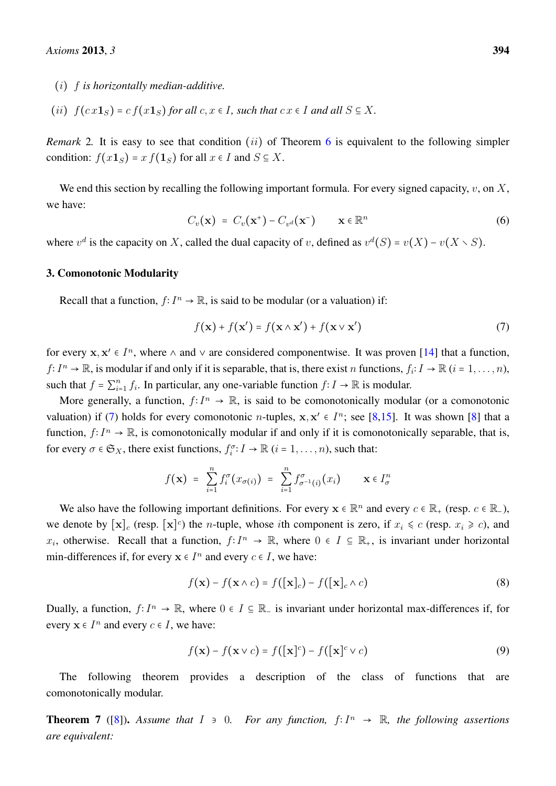- (i) f *is horizontally median-additive.*
- (ii)  $f(cx1<sub>S</sub>) = cf(x1<sub>S</sub>)$  *for all*  $c, x \in I$ *, such that*  $cx \in I$  *and all*  $S \subseteq X$ *.*

<span id="page-4-4"></span>*Remark* 2. It is easy to see that condition (*ii*) of Theorem [6](#page-3-0) is equivalent to the following simpler condition:  $f(x1_S) = x f(1_S)$  for all  $x \in I$  and  $S \subseteq X$ .

<span id="page-4-3"></span>We end this section by recalling the following important formula. For every signed capacity,  $v$ , on  $X$ , we have:

$$
C_v(\mathbf{x}) = C_v(\mathbf{x}^+) - C_{v^d}(\mathbf{x}^-) \qquad \mathbf{x} \in \mathbb{R}^n
$$
 (6)

where  $v^d$  is the capacity on X, called the dual capacity of v, defined as  $v^d(S) = v(X) - v(X \setminus S)$ .

#### <span id="page-4-0"></span>3. Comonotonic Modularity

Recall that a function,  $f: I^n \to \mathbb{R}$ , is said to be modular (or a valuation) if:

<span id="page-4-1"></span>
$$
f(\mathbf{x}) + f(\mathbf{x}') = f(\mathbf{x} \wedge \mathbf{x}') + f(\mathbf{x} \vee \mathbf{x}') \tag{7}
$$

for every  $x, x' \in I^n$ , where  $\wedge$  and  $\vee$  are considered componentwise. It was proven [\[14\]](#page-13-1) that a function,  $f: I^n \to \mathbb{R}$ , is modular if and only if it is separable, that is, there exist n functions,  $f_i: I \to \mathbb{R}$   $(i = 1, ..., n)$ , such that  $f = \sum_{i=1}^{n} f_i$ . In particular, any one-variable function  $f: I \to \mathbb{R}$  is modular.

More generally, a function,  $f: I^n \to \mathbb{R}$ , is said to be comonotonically modular (or a comonotonic valuation) if [\(7\)](#page-4-1) holds for every comonotonic *n*-tuples,  $x, x' \in I^n$ ; see [\[8,](#page-12-7)[15\]](#page-13-2). It was shown [\[8\]](#page-12-7) that a function,  $f: I^n \to \mathbb{R}$ , is comonotonically modular if and only if it is comonotonically separable, that is, for every  $\sigma \in \mathfrak{S}_X$ , there exist functions,  $f_i^{\sigma}: I \to \mathbb{R}$   $(i = 1, ..., n)$ , such that:

$$
f(\mathbf{x}) = \sum_{i=1}^n f_i^{\sigma}(x_{\sigma(i)}) = \sum_{i=1}^n f_{\sigma^{-1}(i)}^{\sigma}(x_i) \qquad \mathbf{x} \in I_{\sigma}^n
$$

We also have the following important definitions. For every  $x \in \mathbb{R}^n$  and every  $c \in \mathbb{R}_+$  (resp.  $c \in \mathbb{R}_-$ ), we denote by  $[\mathbf{x}]_c$  (resp.  $[\mathbf{x}]^c$ ) the *n*-tuple, whose *i*th component is zero, if  $x_i \le c$  (resp.  $x_i \ge c$ ), and  $x_i$ , otherwise. Recall that a function,  $f: I^n \to \mathbb{R}$ , where  $0 \in I \subseteq \mathbb{R}_+$ , is invariant under horizontal min-differences if, for every  $x \in I^n$  and every  $c \in I$ , we have:

$$
f(\mathbf{x}) - f(\mathbf{x} \wedge c) = f([\mathbf{x}]_c) - f([\mathbf{x}]_c \wedge c)
$$
\n(8)

Dually, a function,  $f: I^n \to \mathbb{R}$ , where  $0 \in I \subseteq \mathbb{R}$  is invariant under horizontal max-differences if, for every  $x \in I^n$  and every  $c \in I$ , we have:

$$
f(\mathbf{x}) - f(\mathbf{x} \vee c) = f([\mathbf{x}]^c) - f([\mathbf{x}]^c \vee c)
$$
\n(9)

The following theorem provides a description of the class of functions that are comonotonically modular.

<span id="page-4-2"></span>**Theorem 7** ([\[8\]](#page-12-7)). Assume that  $I \ni 0$ . For any function,  $f: I^n \to \mathbb{R}$ , the following assertions *are equivalent:*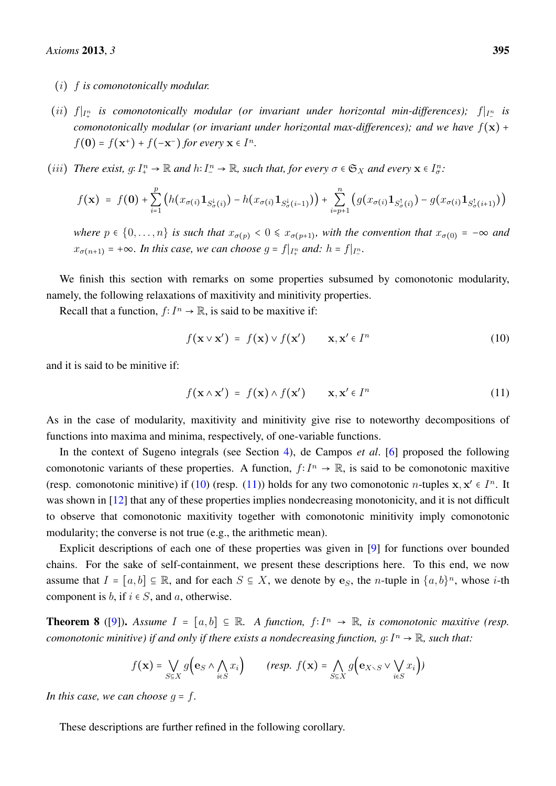- (i) f *is comonotonically modular.*
- (*ii*)  $f|_{I_+^n}$  is comonotonically modular (or invariant under horizontal min-differences);  $f|_{I_-^n}$  is *comonotonically modular (or invariant under horizontal max-differences); and we have*  $f(x)$  +  $f(\mathbf{0}) = f(\mathbf{x}^+) + f(-\mathbf{x}^-)$  for every  $\mathbf{x} \in I^n$ .
- (*iii*) *There exist,*  $g: I^n_+ \to \mathbb{R}$  *and*  $h: I^n_- \to \mathbb{R}$ *, such that, for every*  $\sigma \in \mathfrak{S}_X$  *and every*  $\mathbf{x} \in I^n_\sigma$ *:*

$$
f(\mathbf{x}) = f(\mathbf{0}) + \sum_{i=1}^{p} \left( h(x_{\sigma(i)} \mathbf{1}_{S_{\sigma(i)}^{\downarrow}}) - h(x_{\sigma(i)} \mathbf{1}_{S_{\sigma(i-1)}^{\downarrow}}) \right) + \sum_{i=p+1}^{n} \left( g(x_{\sigma(i)} \mathbf{1}_{S_{\sigma(i)}^{\uparrow}}) - g(x_{\sigma(i)} \mathbf{1}_{S_{\sigma(i+1)}^{\uparrow}}) \right)
$$

*where*  $p \in \{0, \ldots, n\}$  *is such that*  $x_{\sigma(p)} < 0 \le x_{\sigma(p+1)}$ *, with the convention that*  $x_{\sigma(0)} = -\infty$  *and*  $x_{\sigma(n+1)} = +\infty$ . In this case, we can choose  $g = f|_{I_+^n}$  and:  $h = f|_{I_-^n}$ .

We finish this section with remarks on some properties subsumed by comonotonic modularity, namely, the following relaxations of maxitivity and minitivity properties.

Recall that a function,  $f: I^n \to \mathbb{R}$ , is said to be maxitive if:

<span id="page-5-1"></span><span id="page-5-0"></span>
$$
f(\mathbf{x} \vee \mathbf{x}') = f(\mathbf{x}) \vee f(\mathbf{x}') \qquad \mathbf{x}, \mathbf{x}' \in I^n
$$
 (10)

and it is said to be minitive if:

$$
f(\mathbf{x} \wedge \mathbf{x}') = f(\mathbf{x}) \wedge f(\mathbf{x}') \qquad \mathbf{x}, \mathbf{x}' \in I^n
$$
 (11)

As in the case of modularity, maxitivity and minitivity give rise to noteworthy decompositions of functions into maxima and minima, respectively, of one-variable functions.

In the context of Sugeno integrals (see Section [4\)](#page-6-0), de Campos *et al*. [\[6\]](#page-12-5) proposed the following comonotonic variants of these properties. A function,  $f: I^n \to \mathbb{R}$ , is said to be comonotonic maxitive (resp. comonotonic minitive) if [\(10\)](#page-5-0) (resp. [\(11\)](#page-5-1)) holds for any two comonotonic *n*-tuples  $x, x' \in I^n$ . It was shown in [\[12\]](#page-13-3) that any of these properties implies nondecreasing monotonicity, and it is not difficult to observe that comonotonic maxitivity together with comonotonic minitivity imply comonotonic modularity; the converse is not true (e.g., the arithmetic mean).

Explicit descriptions of each one of these properties was given in [\[9\]](#page-12-8) for functions over bounded chains. For the sake of self-containment, we present these descriptions here. To this end, we now assume that  $I = [a, b] \subseteq \mathbb{R}$ , and for each  $S \subseteq X$ , we denote by e<sub>S</sub>, the *n*-tuple in  $\{a, b\}^n$ , whose *i*-th component is b, if  $i \in S$ , and a, otherwise.

<span id="page-5-2"></span>**Theorem 8** ([\[9\]](#page-12-8)). *Assume*  $I = [a, b]$  ⊆ ℝ*. A function,*  $f: I<sup>n</sup> → ℝ$ *, is comonotonic maxitive (resp. comonotonic minitive) if and only if there exists a nondecreasing function, g*:  $I^n \to \mathbb{R}$ *, such that:* 

$$
f(\mathbf{x}) = \bigvee_{S \in X} g\Big(\mathbf{e}_S \wedge \bigwedge_{i \in S} x_i\Big) \qquad \text{(resp. } f(\mathbf{x}) = \bigwedge_{S \in X} g\Big(\mathbf{e}_{X \setminus S} \vee \bigvee_{i \in S} x_i\Big))
$$

*In this case, we can choose*  $q = f$ *.* 

<span id="page-5-3"></span>These descriptions are further refined in the following corollary.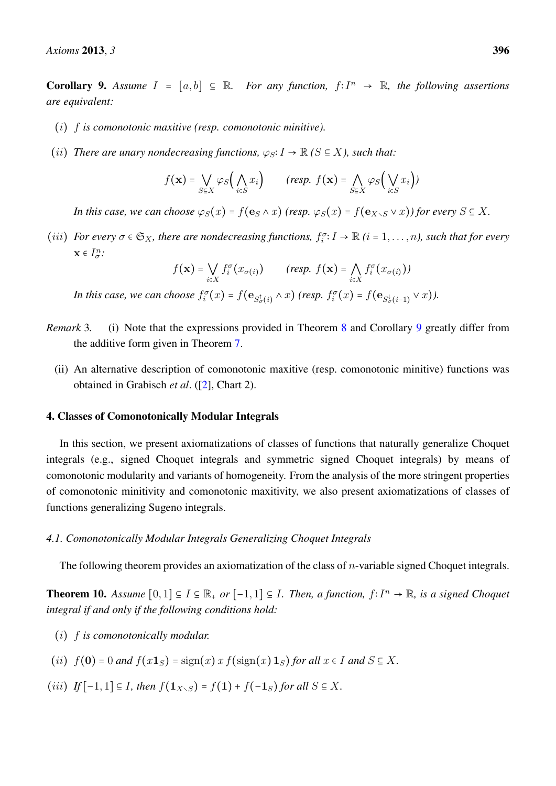**Corollary 9.** Assume  $I = [a, b]$  ⊆ ℝ. For any function,  $f: I<sup>n</sup> → ℝ$ , the following assertions *are equivalent:*

- (i) f *is comonotonic maxitive (resp. comonotonic minitive).*
- (*ii*) *There are unary nondecreasing functions,*  $\varphi_S: I \to \mathbb{R}$  ( $S \subseteq X$ ), such that:

$$
f(\mathbf{x}) = \bigvee_{S \in X} \varphi_S\Big(\bigwedge_{i \in S} x_i\Big) \qquad \text{(resp. } f(\mathbf{x}) = \bigwedge_{S \in X} \varphi_S\Big(\bigvee_{i \in S} x_i\Big))
$$

*In this case, we can choose*  $\varphi_S(x) = f(\mathbf{e}_S \wedge x)$  *(resp.*  $\varphi_S(x) = f(\mathbf{e}_{X\setminus S} \vee x)$ *) for every*  $S \subseteq X$ *.* 

(*iii*) *For every*  $\sigma \in \mathfrak{S}_X$ *, there are nondecreasing functions,*  $f_i^{\sigma}: I \to \mathbb{R}$  (*i* = 1, ..., *n*)*, such that for every*  $\mathbf{x} \in I^n_{\sigma}$ :

$$
f(\mathbf{x}) = \bigvee_{i \in X} f_i^{\sigma}(x_{\sigma(i)}) \qquad (resp. \ f(\mathbf{x}) = \bigwedge_{i \in X} f_i^{\sigma}(x_{\sigma(i)}))
$$

In this case, we can choose  $f_i^{\sigma}(x) = f(e_{S_{\sigma}^{\dagger}(i)} \wedge x)$  (resp.  $f_i^{\sigma}(x) = f(e_{S_{\sigma}^{\dagger}(i-1)} \vee x)$ ).

- *Remark* 3. (i) Note that the expressions provided in Theorem [8](#page-5-2) and Corollary [9](#page-5-3) greatly differ from the additive form given in Theorem [7.](#page-4-2)
	- (ii) An alternative description of comonotonic maxitive (resp. comonotonic minitive) functions was obtained in Grabisch *et al*. ([\[2\]](#page-12-1), Chart 2).

#### <span id="page-6-0"></span>4. Classes of Comonotonically Modular Integrals

In this section, we present axiomatizations of classes of functions that naturally generalize Choquet integrals (e.g., signed Choquet integrals and symmetric signed Choquet integrals) by means of comonotonic modularity and variants of homogeneity. From the analysis of the more stringent properties of comonotonic minitivity and comonotonic maxitivity, we also present axiomatizations of classes of functions generalizing Sugeno integrals.

#### *4.1. Comonotonically Modular Integrals Generalizing Choquet Integrals*

The following theorem provides an axiomatization of the class of  $n$ -variable signed Choquet integrals.

<span id="page-6-1"></span>**Theorem 10.** *Assume*  $[0,1] \subseteq I \subseteq \mathbb{R}_+$  *or*  $[-1,1] \subseteq I$ *. Then, a function, f*∶  $I^n \rightarrow \mathbb{R}$ *, is a signed Choquet integral if and only if the following conditions hold:*

- (i) f *is comonotonically modular.*
- (ii)  $f(\mathbf{0}) = 0$  *and*  $f(x\mathbf{1}_S) = \text{sign}(x) x f(\text{sign}(x) \mathbf{1}_S)$  *for all*  $x \in I$  *and*  $S \subseteq X$ *.*
- (*iii*) *If*  $[-1, 1] \subseteq I$ *, then*  $f(1_{X \setminus S}) = f(1) + f(-1_S)$  *for all*  $S \subseteq X$ *.*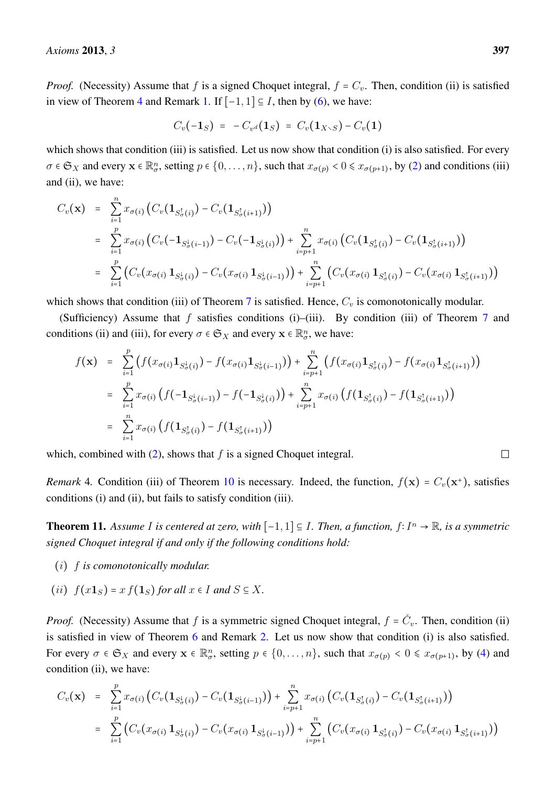*Proof.* (Necessity) Assume that f is a signed Choquet integral,  $f = C_v$ . Then, condition (ii) is satisfied in view of Theorem [4](#page-2-1) and Remark [1.](#page-3-1) If  $[-1, 1] \subseteq I$ , then by [\(6\)](#page-4-3), we have:

$$
C_v(-1_S) = -C_{v^d}(1_S) = C_v(1_{X\setminus S}) - C_v(1)
$$

which shows that condition (iii) is satisfied. Let us now show that condition (i) is also satisfied. For every  $\sigma \in \mathfrak{S}_X$  and every  $\mathbf{x} \in \mathbb{R}^n_{\sigma}$ , setting  $p \in \{0, \ldots, n\}$ , such that  $x_{\sigma(p)} < 0 \le x_{\sigma(p+1)}$ , by [\(2\)](#page-2-2) and conditions (iii) and (ii), we have:

$$
C_v(\mathbf{x}) = \sum_{i=1}^n x_{\sigma(i)} \left( C_v(\mathbf{1}_{S_{\sigma(i)}^{\dagger}}) - C_v(\mathbf{1}_{S_{\sigma(i+1)}^{\dagger}}) \right)
$$
  
\n
$$
= \sum_{i=1}^p x_{\sigma(i)} \left( C_v(-\mathbf{1}_{S_{\sigma(i-1)}^{\dagger}}) - C_v(-\mathbf{1}_{S_{\sigma(i)}^{\dagger}}) \right) + \sum_{i=p+1}^n x_{\sigma(i)} \left( C_v(\mathbf{1}_{S_{\sigma(i)}^{\dagger}}) - C_v(\mathbf{1}_{S_{\sigma(i+1)}^{\dagger}}) \right)
$$
  
\n
$$
= \sum_{i=1}^p \left( C_v(x_{\sigma(i)} \mathbf{1}_{S_{\sigma(i)}^{\dagger}}) - C_v(x_{\sigma(i)} \mathbf{1}_{S_{\sigma(i-1)}^{\dagger}}) \right) + \sum_{i=p+1}^n \left( C_v(x_{\sigma(i)} \mathbf{1}_{S_{\sigma(i)}^{\dagger}}) - C_v(x_{\sigma(i)} \mathbf{1}_{S_{\sigma(i+1)}^{\dagger}}) \right)
$$

which shows that condition (iii) of Theorem [7](#page-4-2) is satisfied. Hence,  $C_v$  is comonotonically modular.

(Sufficiency) Assume that  $f$  satisfies conditions (i)–(iii). By condition (iii) of Theorem [7](#page-4-2) and conditions (ii) and (iii), for every  $\sigma \in \mathfrak{S}_X$  and every  $\mathbf{x} \in \mathbb{R}^n_{\sigma}$ , we have:

$$
f(\mathbf{x}) = \sum_{i=1}^{p} \left( f(x_{\sigma(i)} \mathbf{1}_{S_{\sigma(i)}^{\downarrow}}) - f(x_{\sigma(i)} \mathbf{1}_{S_{\sigma(i-1)}^{\downarrow}}) \right) + \sum_{i=p+1}^{n} \left( f(x_{\sigma(i)} \mathbf{1}_{S_{\sigma(i)}^{\uparrow}}) - f(x_{\sigma(i)} \mathbf{1}_{S_{\sigma(i+1)}^{\uparrow}}) \right)
$$
  
\n
$$
= \sum_{i=1}^{p} x_{\sigma(i)} \left( f(-\mathbf{1}_{S_{\sigma(i)}}) - f(-\mathbf{1}_{S_{\sigma(i)}^{\downarrow}}) \right) + \sum_{i=p+1}^{n} x_{\sigma(i)} \left( f(\mathbf{1}_{S_{\sigma(i)}}) - f(\mathbf{1}_{S_{\sigma(i+1)}^{\uparrow}}) \right)
$$
  
\n
$$
= \sum_{i=1}^{n} x_{\sigma(i)} \left( f(\mathbf{1}_{S_{\sigma(i)}^{\uparrow}}) - f(\mathbf{1}_{S_{\sigma(i+1)}^{\uparrow}}) \right)
$$

which, combined with  $(2)$ , shows that f is a signed Choquet integral.

*Remark* 4. Condition (iii) of Theorem [10](#page-6-1) is necessary. Indeed, the function,  $f(\mathbf{x}) = C_v(\mathbf{x}^+)$ , satisfies conditions (i) and (ii), but fails to satisfy condition (iii).

**Theorem 11.** *Assume I is centered at zero, with*  $[-1, 1]$  ⊆ *I. Then, a function, f*:  $I<sup>n</sup> \rightarrow \mathbb{R}$ *, is a symmetric signed Choquet integral if and only if the following conditions hold:*

- (i) f *is comonotonically modular.*
- (*ii*)  $f(x\mathbf{1}_S) = x f(\mathbf{1}_S)$  *for all*  $x \in I$  *and*  $S \subseteq X$ *.*

*Proof.* (Necessity) Assume that f is a symmetric signed Choquet integral,  $f = \check{C}_v$ . Then, condition (ii) is satisfied in view of Theorem [6](#page-3-0) and Remark [2.](#page-4-4) Let us now show that condition (i) is also satisfied. For every  $\sigma \in \mathfrak{S}_X$  and every  $\mathbf{x} \in \mathbb{R}_{\sigma}^n$ , setting  $p \in \{0, \ldots, n\}$ , such that  $x_{\sigma(p)} < 0 \le x_{\sigma(p+1)}$ , by [\(4\)](#page-3-2) and condition (ii), we have:

$$
C_v(\mathbf{x}) = \sum_{i=1}^p x_{\sigma(i)} \left( C_v(\mathbf{1}_{S^{\downarrow}_{\sigma}(i)}) - C_v(\mathbf{1}_{S^{\downarrow}_{\sigma}(i-1)}) \right) + \sum_{i=p+1}^n x_{\sigma(i)} \left( C_v(\mathbf{1}_{S^{\uparrow}_{\sigma}(i)}) - C_v(\mathbf{1}_{S^{\uparrow}_{\sigma}(i+1)}) \right)
$$
  
= 
$$
\sum_{i=1}^p \left( C_v(x_{\sigma(i)} \mathbf{1}_{S^{\downarrow}_{\sigma}(i)}) - C_v(x_{\sigma(i)} \mathbf{1}_{S^{\downarrow}_{\sigma}(i-1)}) \right) + \sum_{i=p+1}^n \left( C_v(x_{\sigma(i)} \mathbf{1}_{S^{\uparrow}_{\sigma}(i)}) - C_v(x_{\sigma(i)} \mathbf{1}_{S^{\uparrow}_{\sigma}(i+1)}) \right)
$$

 $\Box$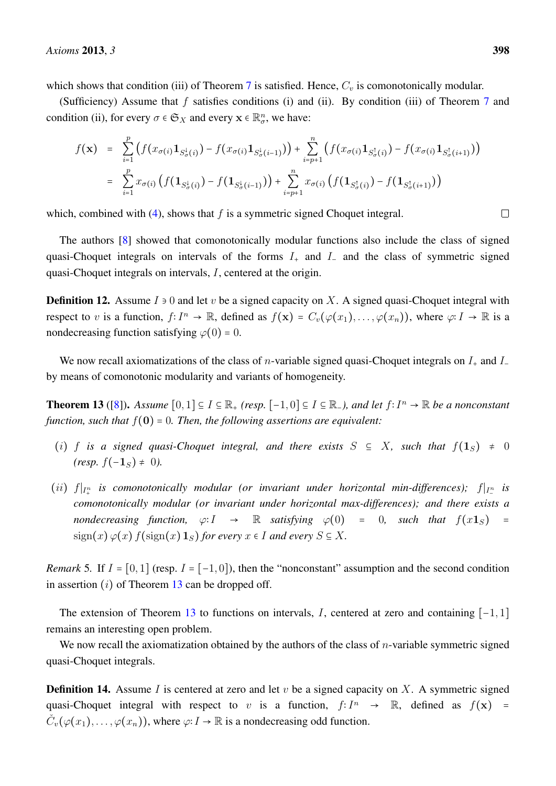which shows that condition (iii) of Theorem [7](#page-4-2) is satisfied. Hence,  $C_v$  is comonotonically modular.

(Sufficiency) Assume that f satisfies conditions (i) and (ii). By condition (iii) of Theorem [7](#page-4-2) and condition (ii), for every  $\sigma \in \mathfrak{S}_X$  and every  $\mathbf{x} \in \mathbb{R}^n_{\sigma}$ , we have:

$$
f(\mathbf{x}) = \sum_{i=1}^{p} \left( f(x_{\sigma(i)} \mathbf{1}_{S_{\sigma(i)}^{\downarrow}}) - f(x_{\sigma(i)} \mathbf{1}_{S_{\sigma(i-1)}^{\downarrow}}) \right) + \sum_{i=p+1}^{n} \left( f(x_{\sigma(i)} \mathbf{1}_{S_{\sigma(i)}^{\uparrow}}) - f(x_{\sigma(i)} \mathbf{1}_{S_{\sigma(i+1)}^{\uparrow}}) \right)
$$
  
= 
$$
\sum_{i=1}^{p} x_{\sigma(i)} \left( f(\mathbf{1}_{S_{\sigma(i)}^{\downarrow}}) - f(\mathbf{1}_{S_{\sigma(i-1)}^{\downarrow}}) \right) + \sum_{i=p+1}^{n} x_{\sigma(i)} \left( f(\mathbf{1}_{S_{\sigma(i)}^{\uparrow}}) - f(\mathbf{1}_{S_{\sigma(i+1)}^{\uparrow}}) \right)
$$

which, combined with  $(4)$ , shows that f is a symmetric signed Choquet integral.

The authors [\[8\]](#page-12-7) showed that comonotonically modular functions also include the class of signed quasi-Choquet integrals on intervals of the forms  $I_+$  and  $I_-$  and the class of symmetric signed quasi-Choquet integrals on intervals, I, centered at the origin.

**Definition 12.** Assume  $I \ni 0$  and let v be a signed capacity on X. A signed quasi-Choquet integral with respect to v is a function,  $f: I^n \to \mathbb{R}$ , defined as  $f(\mathbf{x}) = C_v(\varphi(x_1), \dots, \varphi(x_n))$ , where  $\varphi: I \to \mathbb{R}$  is a nondecreasing function satisfying  $\varphi(0) = 0$ .

We now recall axiomatizations of the class of *n*-variable signed quasi-Choquet integrals on  $I_+$  and  $I_$ by means of comonotonic modularity and variants of homogeneity.

<span id="page-8-0"></span>**Theorem 13** ([\[8\]](#page-12-7)). *Assume*  $[0,1] \subseteq I \subseteq \mathbb{R}_+$  *(resp.*  $[-1,0] \subseteq I \subseteq \mathbb{R}_-$ *), and let*  $f: I^n \to \mathbb{R}$  *be a nonconstant function, such that* <sup>f</sup>(0) <sup>=</sup> <sup>0</sup>*. Then, the following assertions are equivalent:*

- (i) f is a signed quasi-Choquet integral, and there exists  $S \subseteq X$ , such that  $f(1_S) \neq 0$  $(resp. f(-1<sub>S</sub>) \neq 0).$
- (*ii*)  $f|_{I^n_+}$  is comonotonically modular (or invariant under horizontal min-differences);  $f|_{I^n_-}$  is *comonotonically modular (or invariant under horizontal max-differences); and there exists a nondecreasing function,*  $\varphi: I \to \mathbb{R}$  *satisfying*  $\varphi(0) = 0$ *, such that*  $f(x\mathbf{1}_S) =$  $\operatorname{sign}(x)\varphi(x) f(\operatorname{sign}(x) 1_S)$  *for every*  $x \in I$  *and every*  $S \subseteq X$ *.*

*Remark* 5. If  $I = [0, 1]$  (resp.  $I = [-1, 0]$ ), then the "nonconstant" assumption and the second condition in assertion  $(i)$  of Theorem [13](#page-8-0) can be dropped off.

The extension of Theorem [13](#page-8-0) to functions on intervals, I, centered at zero and containing  $[-1, 1]$ remains an interesting open problem.

We now recall the axiomatization obtained by the authors of the class of  $n$ -variable symmetric signed quasi-Choquet integrals.

<span id="page-8-1"></span>**Definition 14.** Assume I is centered at zero and let v be a signed capacity on X. A symmetric signed quasi-Choquet integral with respect to v is a function,  $f: I^n \to \mathbb{R}$ , defined as  $f(\mathbf{x}) = \tilde{f}(f(\mathbf{x}))$  $\check{C}_v(\varphi(x_1),\ldots,\varphi(x_n))$ , where  $\varphi: I \to \mathbb{R}$  is a nondecreasing odd function.

 $\Box$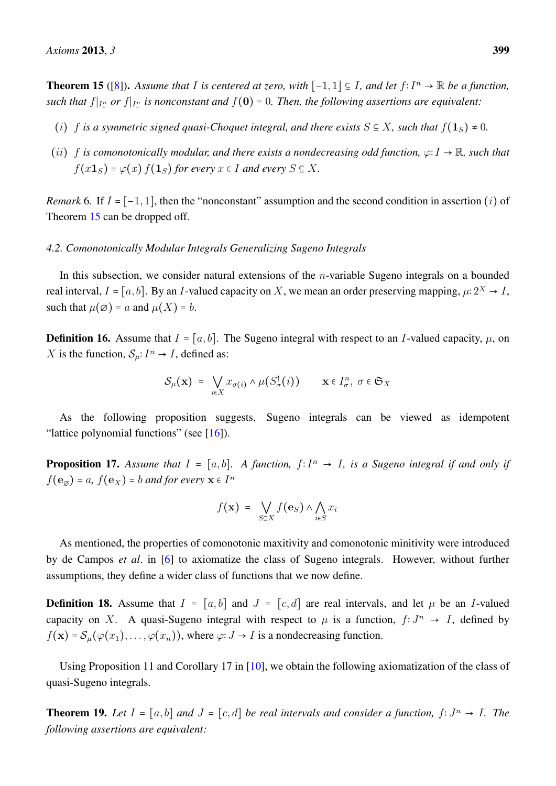**Theorem 15** ([\[8\]](#page-12-7)). Assume that *I* is centered at zero, with  $[-1, 1] \subseteq I$ , and let  $f: I<sup>n</sup> \to \mathbb{R}$  be a function, *such that*  $f|_{I_+^n}$  *or*  $f|_{I_-^n}$  *is nonconstant and*  $f(\mathbf{0}) = 0$ . Then, the following assertions are equivalent:

- (i) f is a symmetric signed quasi-Choquet integral, and there exists  $S \subseteq X$ , such that  $f(1_S) \neq 0$ .
- (ii) <sup>f</sup> *is comonotonically modular, and there exists a nondecreasing odd function,* <sup>ϕ</sup><sup>∶</sup> <sup>I</sup> <sup>→</sup> <sup>R</sup>*, such that*  $f(x\mathbf{1}_S) = \varphi(x) f(\mathbf{1}_S)$  *for every*  $x \in I$  *and every*  $S \subseteq X$ *.*

*Remark* 6. If  $I = [-1, 1]$ , then the "nonconstant" assumption and the second condition in assertion (i) of Theorem [15](#page-8-1) can be dropped off.

#### *4.2. Comonotonically Modular Integrals Generalizing Sugeno Integrals*

In this subsection, we consider natural extensions of the *n*-variable Sugeno integrals on a bounded real interval,  $I = [a, b]$ . By an I-valued capacity on X, we mean an order preserving mapping,  $\mu: 2^X \to I$ , such that  $\mu(\emptyset) = a$  and  $\mu(X) = b$ .

**Definition 16.** Assume that  $I = [a, b]$ . The Sugeno integral with respect to an I-valued capacity,  $\mu$ , on X is the function,  $S_{\mu}: I^{n} \to I$ , defined as:

$$
\mathcal{S}_{\mu}(\mathbf{x}) = \bigvee_{i \in X} x_{\sigma(i)} \wedge \mu(S_{\sigma}^{\dagger}(i)) \qquad \mathbf{x} \in I_{\sigma}^n, \ \sigma \in \mathfrak{S}_X
$$

As the following proposition suggests, Sugeno integrals can be viewed as idempotent "lattice polynomial functions" (see  $[16]$ ).

**Proposition 17.** Assume that  $I = [a, b]$ . A function,  $f: I^n \to I$ , is a Sugeno integral if and only if  $f(\mathbf{e}_{\emptyset}) = a, f(\mathbf{e}_X) = b$  *and for every*  $\mathbf{x} \in I^n$ 

$$
f(\mathbf{x}) = \bigvee_{S \subseteq X} f(\mathbf{e}_S) \wedge \bigwedge_{i \in S} x_i
$$

As mentioned, the properties of comonotonic maxitivity and comonotonic minitivity were introduced by de Campos *et al*. in [\[6\]](#page-12-5) to axiomatize the class of Sugeno integrals. However, without further assumptions, they define a wider class of functions that we now define.

**Definition 18.** Assume that  $I = [a, b]$  and  $J = [c, d]$  are real intervals, and let  $\mu$  be an I-valued capacity on X. A quasi-Sugeno integral with respect to  $\mu$  is a function,  $f: J^n \to I$ , defined by  $f(\mathbf{x}) = \mathcal{S}_u(\varphi(x_1), \dots, \varphi(x_n))$ , where  $\varphi: J \to I$  is a nondecreasing function.

Using Proposition 11 and Corollary 17 in [\[10\]](#page-12-9), we obtain the following axiomatization of the class of quasi-Sugeno integrals.

<span id="page-9-0"></span>**Theorem 19.** Let  $I = [a, b]$  and  $J = [c, d]$  be real intervals and consider a function,  $f: J^n \to I$ . The *following assertions are equivalent:*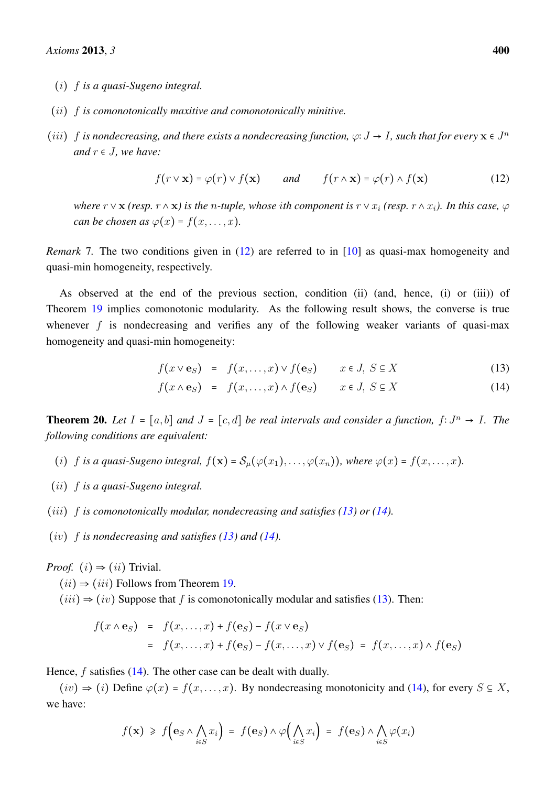- (i) f *is a quasi-Sugeno integral.*
- (ii) f *is comonotonically maxitive and comonotonically minitive.*
- (*iii*) f *is nondecreasing, and there exists a nondecreasing function,*  $\varphi: J \to I$ *, such that for every*  $\mathbf{x} \in J^n$ *and*  $r \in J$ *, we have:*

<span id="page-10-0"></span>
$$
f(r \vee x) = \varphi(r) \vee f(x) \qquad \text{and} \qquad f(r \wedge x) = \varphi(r) \wedge f(x) \tag{12}
$$

*where*  $r \vee x$  *(resp.*  $r \wedge x$ *) is the n-tuple, whose ith component is*  $r \vee x_i$  *(resp.*  $r \wedge x_i$ *). In this case,*  $\varphi$ *can be chosen as*  $\varphi(x) = f(x, \ldots, x)$ *.* 

*Remark* 7. The two conditions given in [\(12\)](#page-10-0) are referred to in [\[10\]](#page-12-9) as quasi-max homogeneity and quasi-min homogeneity, respectively.

As observed at the end of the previous section, condition (ii) (and, hence, (i) or (iii)) of Theorem [19](#page-9-0) implies comonotonic modularity. As the following result shows, the converse is true whenever  $f$  is nondecreasing and verifies any of the following weaker variants of quasi-max homogeneity and quasi-min homogeneity:

$$
f(x \vee e_S) = f(x, \dots, x) \vee f(e_S) \qquad x \in J, S \subseteq X \tag{13}
$$

<span id="page-10-1"></span>
$$
f(x \wedge \mathbf{e}_S) = f(x, \dots, x) \wedge f(\mathbf{e}_S) \qquad x \in J, S \subseteq X \tag{14}
$$

<span id="page-10-2"></span>**Theorem 20.** *Let*  $I = [a, b]$  *and*  $J = [c, d]$  *be real intervals and consider a function,*  $f: J^n \to I$ *. The following conditions are equivalent:*

- (i) f is a quasi-Sugeno integral,  $f(\mathbf{x}) = \mathcal{S}_{\mu}(\varphi(x_1), \dots, \varphi(x_n))$ , where  $\varphi(x) = f(x, \dots, x)$ .
- (ii) f *is a quasi-Sugeno integral.*
- (iii) f *is comonotonically modular, nondecreasing and satisfies [\(13\)](#page-10-1) or [\(14\)](#page-10-1).*
- (iv) f *is nondecreasing and satisfies [\(13\)](#page-10-1) and [\(14\)](#page-10-1).*

*Proof.*  $(i) \Rightarrow (ii)$  Trivial.

- $(ii) \Rightarrow (iii)$  Follows from Theorem [19.](#page-9-0)
- $(iii) \Rightarrow (iv)$  Suppose that f is comonotonically modular and satisfies [\(13\)](#page-10-1). Then:

$$
f(x \wedge \mathbf{e}_S) = f(x, \dots, x) + f(\mathbf{e}_S) - f(x \vee \mathbf{e}_S)
$$
  
=  $f(x, \dots, x) + f(\mathbf{e}_S) - f(x, \dots, x) \vee f(\mathbf{e}_S) = f(x, \dots, x) \wedge f(\mathbf{e}_S)$ 

Hence,  $f$  satisfies [\(14\)](#page-10-1). The other case can be dealt with dually.

 $(iv) \Rightarrow (i)$  Define  $\varphi(x) = f(x, \ldots, x)$ . By nondecreasing monotonicity and [\(14\)](#page-10-1), for every  $S \subseteq X$ , we have:

$$
f(\mathbf{x}) \geq f\Big(\mathbf{e}_S \wedge \bigwedge_{i \in S} x_i\Big) = f(\mathbf{e}_S) \wedge \varphi\Big(\bigwedge_{i \in S} x_i\Big) = f(\mathbf{e}_S) \wedge \bigwedge_{i \in S} \varphi(x_i)
$$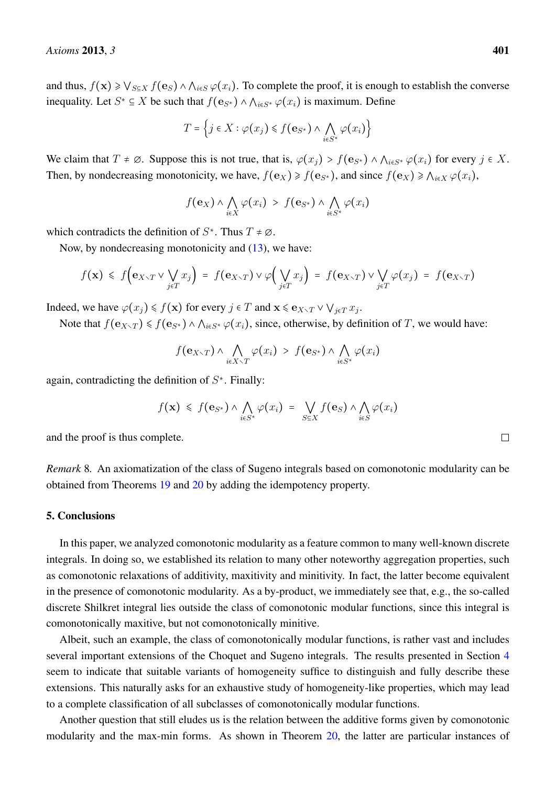and thus,  $f(\mathbf{x}) \geq \bigvee_{S \subseteq X} f(\mathbf{e}_S) \wedge \bigwedge_{i \in S} \varphi(x_i)$ . To complete the proof, it is enough to establish the converse inequality. Let  $S^* \subseteq X$  be such that  $f(\mathbf{e}_{S^*}) \wedge \bigwedge_{i \in S^*} \varphi(x_i)$  is maximum. Define

$$
T = \left\{ j \in X : \varphi(x_j) \leq f(\mathbf{e}_{S^*}) \wedge \bigwedge_{i \in S^*} \varphi(x_i) \right\}
$$

We claim that  $T \neq \emptyset$ . Suppose this is not true, that is,  $\varphi(x_i) > f(\mathbf{e}_{S^*}) \wedge \bigwedge_{i \in S^*} \varphi(x_i)$  for every  $j \in X$ . Then, by nondecreasing monotonicity, we have,  $f(\mathbf{e}_X) \geq f(\mathbf{e}_{S^*})$ , and since  $f(\mathbf{e}_X) \geq \bigwedge_{i \in X} \varphi(x_i)$ ,

$$
f(\mathbf{e}_X) \wedge \bigwedge_{i \in X} \varphi(x_i) > f(\mathbf{e}_{S^*}) \wedge \bigwedge_{i \in S^*} \varphi(x_i)
$$

which contradicts the definition of  $S^*$ . Thus  $T \neq \emptyset$ .

Now, by nondecreasing monotonicity and [\(13\)](#page-10-1), we have:

$$
f(\mathbf{x}) \leq f\Big(\mathbf{e}_{X\setminus T} \vee \bigvee_{j\in T} x_j\Big) = f(\mathbf{e}_{X\setminus T}) \vee \varphi\Big(\bigvee_{j\in T} x_j\Big) = f(\mathbf{e}_{X\setminus T}) \vee \bigvee_{j\in T} \varphi(x_j) = f(\mathbf{e}_{X\setminus T})
$$

Indeed, we have  $\varphi(x_j) \leq f(x)$  for every  $j \in T$  and  $x \leq e_{X \setminus T} \vee \bigvee_{j \in T} x_j$ .

Note that  $f(\mathbf{e}_{X\setminus T}) \leq f(\mathbf{e}_{S^*}) \wedge \bigwedge_{i \in S^*} \varphi(x_i)$ , since, otherwise, by definition of T, we would have:

$$
f(\mathbf{e}_{X\setminus T}) \wedge \bigwedge_{i\in X\setminus T} \varphi(x_i) > f(\mathbf{e}_{S^*}) \wedge \bigwedge_{i\in S^*} \varphi(x_i)
$$

again, contradicting the definition of  $S^*$ . Finally:

$$
f(\mathbf{x}) \leq f(\mathbf{e}_{S^*}) \wedge \bigwedge_{i \in S^*} \varphi(x_i) = \bigvee_{S \subseteq X} f(\mathbf{e}_S) \wedge \bigwedge_{i \in S} \varphi(x_i)
$$

and the proof is thus complete.

*Remark* 8*.* An axiomatization of the class of Sugeno integrals based on comonotonic modularity can be obtained from Theorems [19](#page-9-0) and [20](#page-10-2) by adding the idempotency property.

#### 5. Conclusions

In this paper, we analyzed comonotonic modularity as a feature common to many well-known discrete integrals. In doing so, we established its relation to many other noteworthy aggregation properties, such as comonotonic relaxations of additivity, maxitivity and minitivity. In fact, the latter become equivalent in the presence of comonotonic modularity. As a by-product, we immediately see that, e.g., the so-called discrete Shilkret integral lies outside the class of comonotonic modular functions, since this integral is comonotonically maxitive, but not comonotonically minitive.

Albeit, such an example, the class of comonotonically modular functions, is rather vast and includes several important extensions of the Choquet and Sugeno integrals. The results presented in Section [4](#page-6-0) seem to indicate that suitable variants of homogeneity suffice to distinguish and fully describe these extensions. This naturally asks for an exhaustive study of homogeneity-like properties, which may lead to a complete classification of all subclasses of comonotonically modular functions.

Another question that still eludes us is the relation between the additive forms given by comonotonic modularity and the max-min forms. As shown in Theorem [20,](#page-10-2) the latter are particular instances of

 $\Box$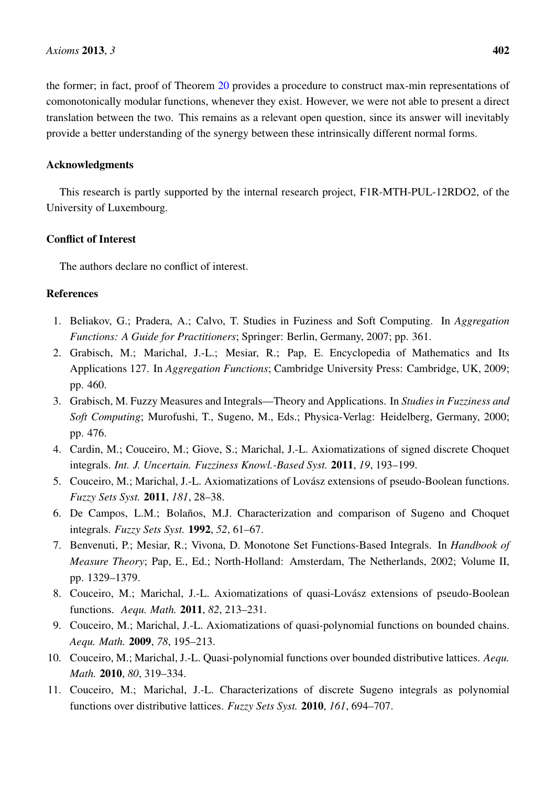the former; in fact, proof of Theorem [20](#page-10-2) provides a procedure to construct max-min representations of comonotonically modular functions, whenever they exist. However, we were not able to present a direct translation between the two. This remains as a relevant open question, since its answer will inevitably provide a better understanding of the synergy between these intrinsically different normal forms.

## Acknowledgments

This research is partly supported by the internal research project, F1R-MTH-PUL-12RDO2, of the University of Luxembourg.

## Conflict of Interest

The authors declare no conflict of interest.

# References

- <span id="page-12-0"></span>1. Beliakov, G.; Pradera, A.; Calvo, T. Studies in Fuziness and Soft Computing. In *Aggregation Functions: A Guide for Practitioners*; Springer: Berlin, Germany, 2007; pp. 361.
- <span id="page-12-1"></span>2. Grabisch, M.; Marichal, J.-L.; Mesiar, R.; Pap, E. Encyclopedia of Mathematics and Its Applications 127. In *Aggregation Functions*; Cambridge University Press: Cambridge, UK, 2009; pp. 460.
- <span id="page-12-2"></span>3. Grabisch, M. Fuzzy Measures and Integrals—Theory and Applications. In *Studies in Fuzziness and Soft Computing*; Murofushi, T., Sugeno, M., Eds.; Physica-Verlag: Heidelberg, Germany, 2000; pp. 476.
- <span id="page-12-3"></span>4. Cardin, M.; Couceiro, M.; Giove, S.; Marichal, J.-L. Axiomatizations of signed discrete Choquet integrals. *Int. J. Uncertain. Fuzziness Knowl.-Based Syst.* 2011, *19*, 193–199.
- <span id="page-12-4"></span>5. Couceiro, M.; Marichal, J.-L. Axiomatizations of Lovász extensions of pseudo-Boolean functions. *Fuzzy Sets Syst.* 2011, *181*, 28–38.
- <span id="page-12-5"></span>6. De Campos, L.M.; Bolaños, M.J. Characterization and comparison of Sugeno and Choquet integrals. *Fuzzy Sets Syst.* 1992, *52*, 61–67.
- <span id="page-12-6"></span>7. Benvenuti, P.; Mesiar, R.; Vivona, D. Monotone Set Functions-Based Integrals. In *Handbook of Measure Theory*; Pap, E., Ed.; North-Holland: Amsterdam, The Netherlands, 2002; Volume II, pp. 1329–1379.
- <span id="page-12-7"></span>8. Couceiro, M.; Marichal, J.-L. Axiomatizations of quasi-Lovász extensions of pseudo-Boolean functions. *Aequ. Math.* 2011, *82*, 213–231.
- <span id="page-12-8"></span>9. Couceiro, M.; Marichal, J.-L. Axiomatizations of quasi-polynomial functions on bounded chains. *Aequ. Math.* 2009, *78*, 195–213.
- <span id="page-12-9"></span>10. Couceiro, M.; Marichal, J.-L. Quasi-polynomial functions over bounded distributive lattices. *Aequ. Math.* 2010, *80*, 319–334.
- 11. Couceiro, M.; Marichal, J.-L. Characterizations of discrete Sugeno integrals as polynomial functions over distributive lattices. *Fuzzy Sets Syst.* 2010, *161*, 694–707.